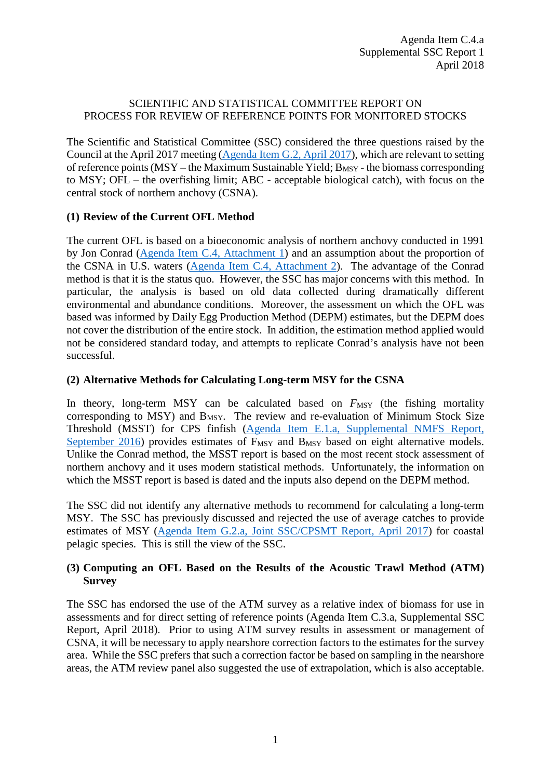## SCIENTIFIC AND STATISTICAL COMMITTEE REPORT ON PROCESS FOR REVIEW OF REFERENCE POINTS FOR MONITORED STOCKS

The Scientific and Statistical Committee (SSC) considered the three questions raised by the Council at the April 2017 meeting [\(Agenda Item G.2, April 2017\)](http://www.pcouncil.org/wp-content/uploads/2017/03/G2__SitSum_CSNA_OFL_Apr2017BB.pdf), which are relevant to setting of reference points ( $MSY$  – the Maximum Sustainable Yield:  $B_{MSY}$  - the biomass corresponding to MSY; OFL – the overfishing limit; ABC - acceptable biological catch), with focus on the central stock of northern anchovy (CSNA).

## **(1) Review of the Current OFL Method**

The current OFL is based on a bioeconomic analysis of northern anchovy conducted in 1991 by Jon Conrad [\(Agenda Item C.4, Attachment 1\)](https://www.pcouncil.org/wp-content/uploads/2018/03/C4_Att_1_Conrad_Apr2018BB.pdf) and an assumption about the proportion of the CSNA in U.S. waters [\(Agenda Item C.4, Attachment 2\)](https://www.pcouncil.org/wp-content/uploads/2018/03/C4_Att_2_Analysis_for_MSY_Estimate_Apr2018BB.pdf). The advantage of the Conrad method is that it is the status quo. However, the SSC has major concerns with this method. In particular, the analysis is based on old data collected during dramatically different environmental and abundance conditions. Moreover, the assessment on which the OFL was based was informed by Daily Egg Production Method (DEPM) estimates, but the DEPM does not cover the distribution of the entire stock. In addition, the estimation method applied would not be considered standard today, and attempts to replicate Conrad's analysis have not been successful.

## **(2) Alternative Methods for Calculating Long-term MSY for the CSNA**

In theory, long-term  $MSY$  can be calculated based on  $F_{MSY}$  (the fishing mortality corresponding to MSY) and  $B_{MSY}$ . The review and re-evaluation of Minimum Stock Size Threshold (MSST) for CPS finfish [\(Agenda Item E.1.a, Supplemental NMFS Report,](http://www.pcouncil.org/wp-content/uploads/2016/09/E1a_Sup_NMFS_Rpt_MSSTs_SEPT2016BB.pdf)  [September 2016\)](http://www.pcouncil.org/wp-content/uploads/2016/09/E1a_Sup_NMFS_Rpt_MSSTs_SEPT2016BB.pdf) provides estimates of F<sub>MSY</sub> and B<sub>MSY</sub> based on eight alternative models. Unlike the Conrad method, the MSST report is based on the most recent stock assessment of northern anchovy and it uses modern statistical methods. Unfortunately, the information on which the MSST report is based is dated and the inputs also depend on the DEPM method.

The SSC did not identify any alternative methods to recommend for calculating a long-term MSY. The SSC has previously discussed and rejected the use of average catches to provide estimates of MSY [\(Agenda Item G.2.a, Joint SSC/CPSMT Report, April 2017\)](http://www.pcouncil.org/wp-content/uploads/2017/03/G2a_SSCandCPSMT_Rpt_Apr2017BB.pdf) for coastal pelagic species. This is still the view of the SSC.

## **(3) Computing an OFL Based on the Results of the Acoustic Trawl Method (ATM) Survey**

The SSC has endorsed the use of the ATM survey as a relative index of biomass for use in assessments and for direct setting of reference points (Agenda Item C.3.a, Supplemental SSC Report, April 2018). Prior to using ATM survey results in assessment or management of CSNA, it will be necessary to apply nearshore correction factors to the estimates for the survey area. While the SSC prefers that such a correction factor be based on sampling in the nearshore areas, the ATM review panel also suggested the use of extrapolation, which is also acceptable.